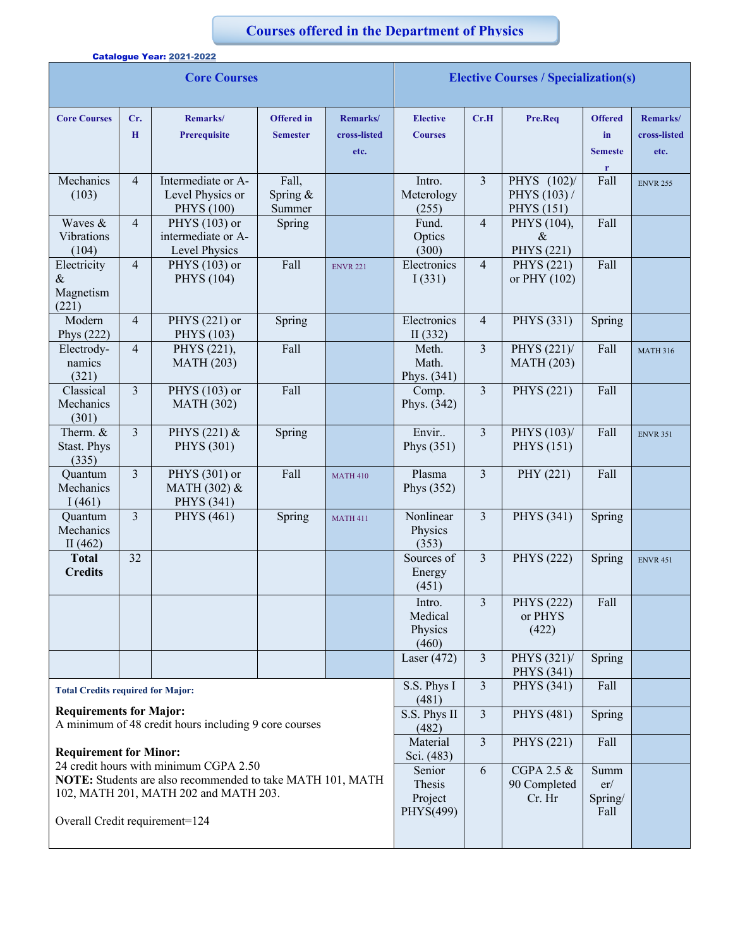## **Courses offered in the Department of Physics**

|                                                                                                                                       |                         | Catalogue Year: 2021-2022                                   |                                      |                                  |                                             |                         |                                                  |                                        |                                  |
|---------------------------------------------------------------------------------------------------------------------------------------|-------------------------|-------------------------------------------------------------|--------------------------------------|----------------------------------|---------------------------------------------|-------------------------|--------------------------------------------------|----------------------------------------|----------------------------------|
| <b>Core Courses</b>                                                                                                                   |                         |                                                             |                                      |                                  | <b>Elective Courses / Specialization(s)</b> |                         |                                                  |                                        |                                  |
| <b>Core Courses</b>                                                                                                                   | Cr.<br>$\mathbf H$      | Remarks/<br><b>Prerequisite</b>                             | <b>Offered</b> in<br><b>Semester</b> | Remarks/<br>cross-listed<br>etc. | <b>Elective</b><br><b>Courses</b>           | Cr.H                    | Pre.Req                                          | <b>Offered</b><br>in<br><b>Semeste</b> | Remarks/<br>cross-listed<br>etc. |
| Mechanics<br>(103)                                                                                                                    | $\overline{4}$          | Intermediate or A-<br>Level Physics or<br><b>PHYS</b> (100) | Fall,<br>Spring &<br>Summer          |                                  | Intro.<br>Meterology<br>(255)               | $\overline{\mathbf{3}}$ | PHYS (102)/<br>PHYS (103) /<br><b>PHYS</b> (151) | r<br>Fall                              | <b>ENVR 255</b>                  |
| Waves &<br>Vibrations<br>(104)                                                                                                        | $\overline{4}$          | PHYS (103) or<br>intermediate or A-<br>Level Physics        | Spring                               |                                  | Fund.<br>Optics<br>(300)                    | $\overline{4}$          | PHYS (104),<br>$\&$<br>PHYS (221)                | Fall                                   |                                  |
| Electricity<br>$\&$<br>Magnetism<br>(221)                                                                                             | $\overline{4}$          | PHYS (103) or<br>PHYS (104)                                 | Fall                                 | <b>ENVR 221</b>                  | Electronics<br>I(331)                       | $\overline{4}$          | PHYS (221)<br>or PHY (102)                       | Fall                                   |                                  |
| Modern<br>Phys (222)                                                                                                                  | $\overline{4}$          | PHYS (221) or<br><b>PHYS</b> (103)                          | Spring                               |                                  | Electronics<br>II(332)                      | $\overline{4}$          | <b>PHYS</b> (331)                                | Spring                                 |                                  |
| Electrody-<br>namics<br>(321)                                                                                                         | $\overline{4}$          | PHYS (221),<br><b>MATH (203)</b>                            | Fall                                 |                                  | Meth.<br>Math.<br>Phys. (341)               | 3                       | PHYS (221)/<br><b>MATH</b> (203)                 | Fall                                   | <b>MATH 316</b>                  |
| Classical<br>Mechanics<br>(301)                                                                                                       | 3                       | PHYS (103) or<br><b>MATH (302)</b>                          | Fall                                 |                                  | Comp.<br>Phys. (342)                        | $\overline{3}$          | <b>PHYS</b> (221)                                | Fall                                   |                                  |
| Therm. &<br>Stast. Phys<br>(335)                                                                                                      | $\overline{\mathbf{3}}$ | PHYS (221) &<br><b>PHYS</b> (301)                           | Spring                               |                                  | Envir<br>Phys $(351)$                       | $\overline{\mathbf{3}}$ | PHYS (103)/<br><b>PHYS</b> (151)                 | Fall                                   | <b>ENVR 351</b>                  |
| Quantum<br>Mechanics<br>I(461)                                                                                                        | 3                       | PHYS (301) or<br>MATH (302) &<br>PHYS (341)                 | Fall                                 | <b>MATH 410</b>                  | Plasma<br>Phys $(352)$                      | $\overline{3}$          | PHY (221)                                        | Fall                                   |                                  |
| Quantum<br>Mechanics<br>II $(462)$                                                                                                    | 3                       | <b>PHYS</b> (461)                                           | Spring                               | <b>MATH 411</b>                  | Nonlinear<br>Physics<br>(353)               | $\overline{3}$          | <b>PHYS</b> (341)                                | Spring                                 |                                  |
| <b>Total</b><br><b>Credits</b>                                                                                                        | 32                      |                                                             |                                      |                                  | Sources of<br>Energy<br>(451)               | $\overline{3}$          | PHYS (222)                                       | Spring                                 | <b>ENVR 451</b>                  |
|                                                                                                                                       |                         |                                                             |                                      |                                  | Intro.<br>Medical<br>Physics<br>(460)       | $\overline{3}$          | PHYS (222)<br>or PHYS<br>(422)                   | Fall                                   |                                  |
|                                                                                                                                       |                         |                                                             |                                      |                                  | Laser $(472)$                               | $\mathfrak{Z}$          | PHYS (321)/<br>PHYS (341)                        | Spring                                 |                                  |
| <b>Total Credits required for Major:</b>                                                                                              |                         |                                                             |                                      |                                  | S.S. Phys I<br>(481)                        | $\overline{3}$          | PHYS (341)                                       | Fall                                   |                                  |
| <b>Requirements for Major:</b><br>A minimum of 48 credit hours including 9 core courses                                               |                         |                                                             |                                      |                                  | S.S. Phys II<br>(482)                       | $\overline{3}$          | <b>PHYS</b> (481)                                | Spring                                 |                                  |
| <b>Requirement for Minor:</b><br>24 credit hours with minimum CGPA 2.50                                                               |                         |                                                             |                                      |                                  | Material<br>Sci. (483)                      | $\overline{3}$          | PHYS (221)                                       | Fall                                   |                                  |
| NOTE: Students are also recommended to take MATH 101, MATH<br>102, MATH 201, MATH 202 and MATH 203.<br>Overall Credit requirement=124 |                         |                                                             |                                      |                                  | Senior<br>Thesis<br>Project<br>PHYS(499)    | 6                       | CGPA 2.5 &<br>90 Completed<br>Cr. Hr             | Summ<br>er/<br>Spring/<br>Fall         |                                  |